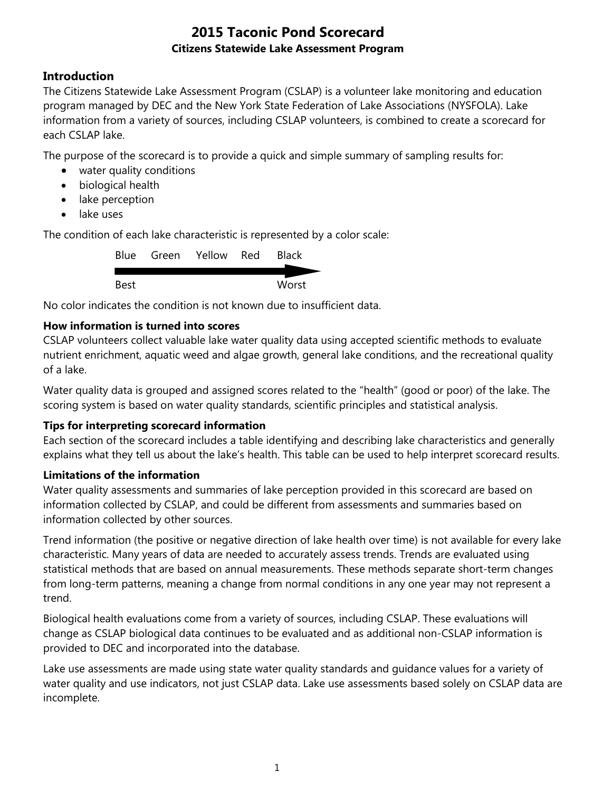## **Introduction**

The Citizens Statewide Lake Assessment Program (CSLAP) is a volunteer lake monitoring and education program managed by DEC and the New York State Federation of Lake Associations (NYSFOLA). Lake information from a variety of sources, including CSLAP volunteers, is combined to create a scorecard for each CSLAP lake.

The purpose of the scorecard is to provide a quick and simple summary of sampling results for:

- water quality conditions
- biological health
- lake perception
- lake uses

The condition of each lake characteristic is represented by a color scale:

|      | Blue Green Yellow Red | <b>Black</b> |
|------|-----------------------|--------------|
|      |                       |              |
| Best |                       | Worst        |

No color indicates the condition is not known due to insufficient data.

### **How information is turned into scores**

CSLAP volunteers collect valuable lake water quality data using accepted scientific methods to evaluate nutrient enrichment, aquatic weed and algae growth, general lake conditions, and the recreational quality of a lake.

Water quality data is grouped and assigned scores related to the "health" (good or poor) of the lake. The scoring system is based on water quality standards, scientific principles and statistical analysis.

#### **Tips for interpreting scorecard information**

Each section of the scorecard includes a table identifying and describing lake characteristics and generally explains what they tell us about the lake's health. This table can be used to help interpret scorecard results.

#### **Limitations of the information**

Water quality assessments and summaries of lake perception provided in this scorecard are based on information collected by CSLAP, and could be different from assessments and summaries based on information collected by other sources.

Trend information (the positive or negative direction of lake health over time) is not available for every lake characteristic. Many years of data are needed to accurately assess trends. Trends are evaluated using statistical methods that are based on annual measurements. These methods separate short-term changes from long-term patterns, meaning a change from normal conditions in any one year may not represent a trend.

Biological health evaluations come from a variety of sources, including CSLAP. These evaluations will change as CSLAP biological data continues to be evaluated and as additional non-CSLAP information is provided to DEC and incorporated into the database.

Lake use assessments are made using state water quality standards and guidance values for a variety of water quality and use indicators, not just CSLAP data. Lake use assessments based solely on CSLAP data are incomplete.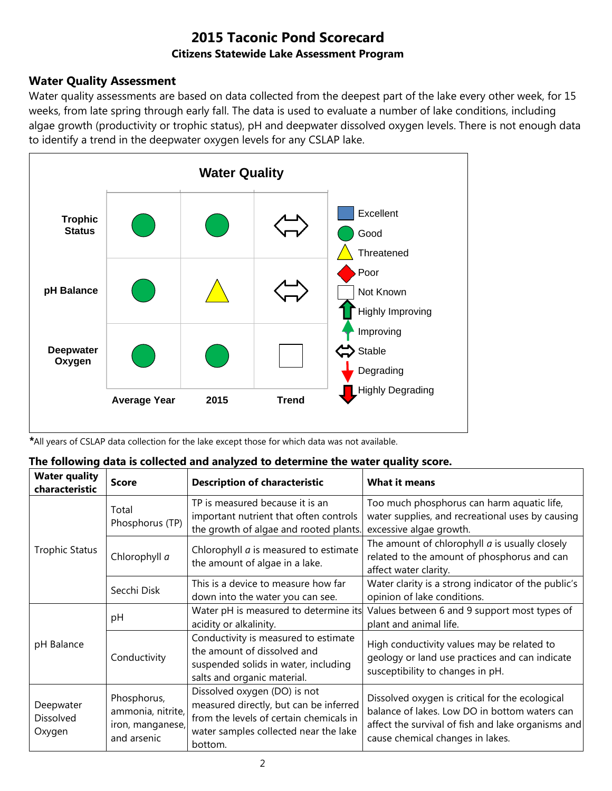## **Water Quality Assessment**

Water quality assessments are based on data collected from the deepest part of the lake every other week, for 15 weeks, from late spring through early fall. The data is used to evaluate a number of lake conditions, including algae growth (productivity or trophic status), pH and deepwater dissolved oxygen levels. There is not enough data to identify a trend in the deepwater oxygen levels for any CSLAP lake.



*\**All years of CSLAP data collection for the lake except those for which data was not available.

| The following data is collected and analyzed to determine the water quality score. |  |
|------------------------------------------------------------------------------------|--|
|------------------------------------------------------------------------------------|--|

| <b>Water quality</b><br>characteristic | <b>Score</b>                                                        | <b>Description of characteristic</b>                                                                                                                                  | <b>What it means</b>                                                                                                                                                                       |
|----------------------------------------|---------------------------------------------------------------------|-----------------------------------------------------------------------------------------------------------------------------------------------------------------------|--------------------------------------------------------------------------------------------------------------------------------------------------------------------------------------------|
|                                        | Total<br>Phosphorus (TP)                                            | TP is measured because it is an<br>important nutrient that often controls<br>the growth of algae and rooted plants.                                                   | Too much phosphorus can harm aquatic life,<br>water supplies, and recreational uses by causing<br>excessive algae growth.                                                                  |
| <b>Trophic Status</b>                  | Chlorophyll a                                                       | Chlorophyll <i>a</i> is measured to estimate<br>the amount of algae in a lake.                                                                                        | The amount of chlorophyll $a$ is usually closely<br>related to the amount of phosphorus and can<br>affect water clarity.                                                                   |
|                                        | Secchi Disk                                                         | This is a device to measure how far<br>down into the water you can see.                                                                                               | Water clarity is a strong indicator of the public's<br>opinion of lake conditions.                                                                                                         |
|                                        | pH                                                                  | Water pH is measured to determine its<br>acidity or alkalinity.                                                                                                       | Values between 6 and 9 support most types of<br>plant and animal life.                                                                                                                     |
| pH Balance                             | Conductivity                                                        | Conductivity is measured to estimate<br>the amount of dissolved and<br>suspended solids in water, including<br>salts and organic material.                            | High conductivity values may be related to<br>geology or land use practices and can indicate<br>susceptibility to changes in pH.                                                           |
| Deepwater<br>Dissolved<br>Oxygen       | Phosphorus,<br>ammonia, nitrite,<br>iron, manganese,<br>and arsenic | Dissolved oxygen (DO) is not<br>measured directly, but can be inferred<br>from the levels of certain chemicals in<br>water samples collected near the lake<br>bottom. | Dissolved oxygen is critical for the ecological<br>balance of lakes. Low DO in bottom waters can<br>affect the survival of fish and lake organisms and<br>cause chemical changes in lakes. |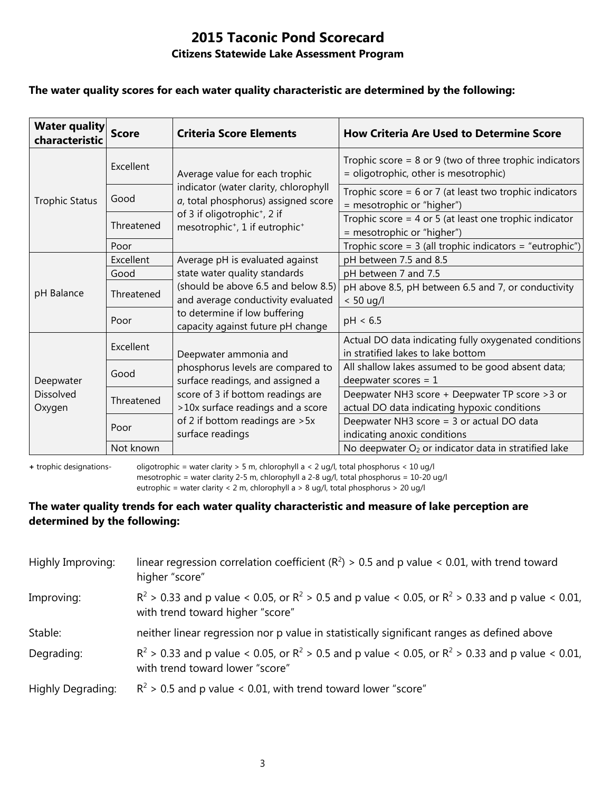#### **The water quality scores for each water quality characteristic are determined by the following:**

| <b>Water quality</b><br>characteristic  | <b>Score</b> | <b>Criteria Score Elements</b>                                                                     | <b>How Criteria Are Used to Determine Score</b>                                                      |
|-----------------------------------------|--------------|----------------------------------------------------------------------------------------------------|------------------------------------------------------------------------------------------------------|
| <b>Trophic Status</b>                   | Excellent    | Average value for each trophic                                                                     | Trophic score = $8$ or $9$ (two of three trophic indicators<br>= oligotrophic, other is mesotrophic) |
|                                         | Good         | indicator (water clarity, chlorophyll<br>a, total phosphorus) assigned score                       | Trophic score = $6$ or 7 (at least two trophic indicators<br>= mesotrophic or "higher")              |
|                                         | Threatened   | of 3 if oligotrophic <sup>+</sup> , 2 if<br>mesotrophic <sup>+</sup> , 1 if eutrophic <sup>+</sup> | Trophic score = $4$ or $5$ (at least one trophic indicator<br>= mesotrophic or "higher")             |
|                                         | Poor         |                                                                                                    | Trophic score = $3$ (all trophic indicators = "eutrophic")                                           |
| pH Balance                              | Excellent    | Average pH is evaluated against                                                                    | pH between 7.5 and 8.5                                                                               |
|                                         | Good         | state water quality standards                                                                      | pH between 7 and 7.5                                                                                 |
|                                         | Threatened   | (should be above 6.5 and below 8.5)<br>and average conductivity evaluated                          | pH above 8.5, pH between 6.5 and 7, or conductivity<br>$< 50$ ug/l                                   |
|                                         | Poor         | to determine if low buffering<br>capacity against future pH change                                 | pH < 6.5                                                                                             |
| Deepwater<br><b>Dissolved</b><br>Oxygen | Excellent    | Deepwater ammonia and                                                                              | Actual DO data indicating fully oxygenated conditions<br>in stratified lakes to lake bottom          |
|                                         | Good         | phosphorus levels are compared to<br>surface readings, and assigned a                              | All shallow lakes assumed to be good absent data;<br>deepwater scores = $1$                          |
|                                         | Threatened   | score of 3 if bottom readings are<br>>10x surface readings and a score                             | Deepwater NH3 score + Deepwater TP score > 3 or<br>actual DO data indicating hypoxic conditions      |
|                                         | Poor         | of 2 if bottom readings are > 5x<br>surface readings                                               | Deepwater NH3 score = 3 or actual DO data<br>indicating anoxic conditions                            |
|                                         | Not known    |                                                                                                    | No deepwater $O_2$ or indicator data in stratified lake                                              |

**+** trophic designations- oligotrophic = water clarity > 5 m, chlorophyll a < 2 ug/l, total phosphorus < 10 ug/l mesotrophic = water clarity 2-5 m, chlorophyll a 2-8 ug/l, total phosphorus = 10-20 ug/l

eutrophic = water clarity < 2 m, chlorophyll a > 8 ug/l, total phosphorus > 20 ug/l

#### **The water quality trends for each water quality characteristic and measure of lake perception are determined by the following:**

| Highly Improving: | linear regression correlation coefficient ( $R^2$ ) > 0.5 and p value < 0.01, with trend toward<br>higher "score"                           |
|-------------------|---------------------------------------------------------------------------------------------------------------------------------------------|
| Improving:        | $R^2 > 0.33$ and p value < 0.05, or $R^2 > 0.5$ and p value < 0.05, or $R^2 > 0.33$ and p value < 0.01,<br>with trend toward higher "score" |
| Stable:           | neither linear regression nor p value in statistically significant ranges as defined above                                                  |
| Degrading:        | $R^2 > 0.33$ and p value < 0.05, or $R^2 > 0.5$ and p value < 0.05, or $R^2 > 0.33$ and p value < 0.01,<br>with trend toward lower "score"  |
| Highly Degrading: | $R^2$ > 0.5 and p value < 0.01, with trend toward lower "score"                                                                             |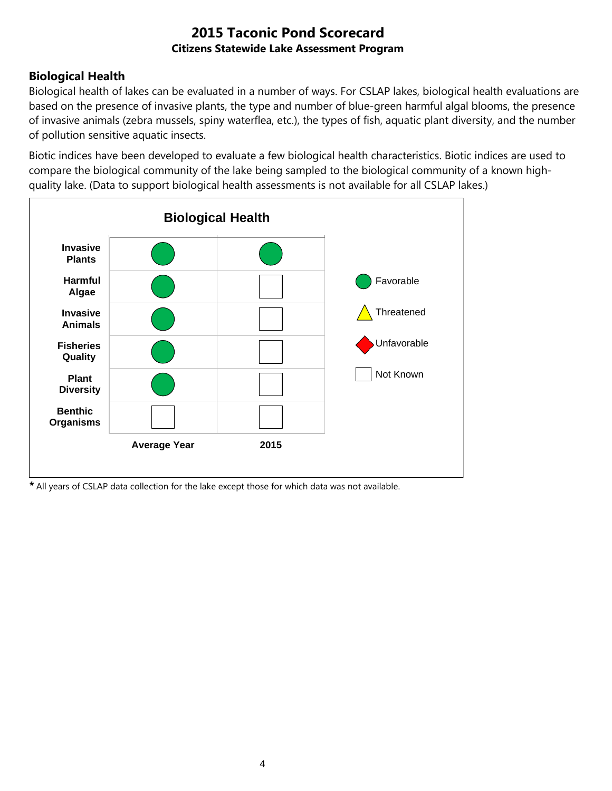## **Biological Health**

Biological health of lakes can be evaluated in a number of ways. For CSLAP lakes, biological health evaluations are based on the presence of invasive plants, the type and number of blue-green harmful algal blooms, the presence of invasive animals (zebra mussels, spiny waterflea, etc.), the types of fish, aquatic plant diversity, and the number of pollution sensitive aquatic insects.

Biotic indices have been developed to evaluate a few biological health characteristics. Biotic indices are used to compare the biological community of the lake being sampled to the biological community of a known highquality lake. (Data to support biological health assessments is not available for all CSLAP lakes.)



*\** All years of CSLAP data collection for the lake except those for which data was not available.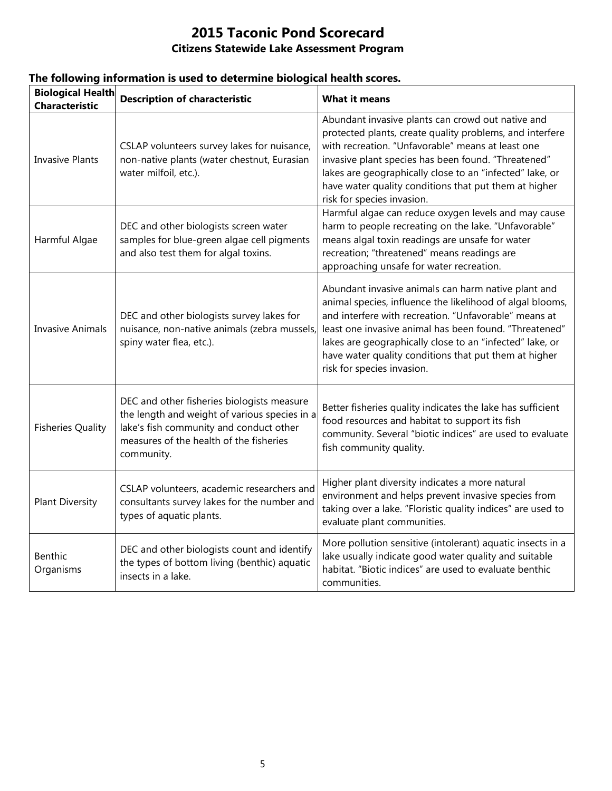| <b>Biological Health</b><br><b>Characteristic</b> | <b>Description of characteristic</b><br><b>What it means</b>                                                                                                                                    |                                                                                                                                                                                                                                                                                                                                                                                        |  |
|---------------------------------------------------|-------------------------------------------------------------------------------------------------------------------------------------------------------------------------------------------------|----------------------------------------------------------------------------------------------------------------------------------------------------------------------------------------------------------------------------------------------------------------------------------------------------------------------------------------------------------------------------------------|--|
| <b>Invasive Plants</b>                            | CSLAP volunteers survey lakes for nuisance,<br>non-native plants (water chestnut, Eurasian<br>water milfoil, etc.).                                                                             | Abundant invasive plants can crowd out native and<br>protected plants, create quality problems, and interfere<br>with recreation. "Unfavorable" means at least one<br>invasive plant species has been found. "Threatened"<br>lakes are geographically close to an "infected" lake, or<br>have water quality conditions that put them at higher<br>risk for species invasion.           |  |
| Harmful Algae                                     | DEC and other biologists screen water<br>samples for blue-green algae cell pigments<br>and also test them for algal toxins.                                                                     | Harmful algae can reduce oxygen levels and may cause<br>harm to people recreating on the lake. "Unfavorable"<br>means algal toxin readings are unsafe for water<br>recreation; "threatened" means readings are<br>approaching unsafe for water recreation.                                                                                                                             |  |
| <b>Invasive Animals</b>                           | DEC and other biologists survey lakes for<br>nuisance, non-native animals (zebra mussels,<br>spiny water flea, etc.).                                                                           | Abundant invasive animals can harm native plant and<br>animal species, influence the likelihood of algal blooms,<br>and interfere with recreation. "Unfavorable" means at<br>least one invasive animal has been found. "Threatened"<br>lakes are geographically close to an "infected" lake, or<br>have water quality conditions that put them at higher<br>risk for species invasion. |  |
| <b>Fisheries Quality</b>                          | DEC and other fisheries biologists measure<br>the length and weight of various species in a<br>lake's fish community and conduct other<br>measures of the health of the fisheries<br>community. | Better fisheries quality indicates the lake has sufficient<br>food resources and habitat to support its fish<br>community. Several "biotic indices" are used to evaluate<br>fish community quality.                                                                                                                                                                                    |  |
| <b>Plant Diversity</b>                            | CSLAP volunteers, academic researchers and<br>consultants survey lakes for the number and<br>types of aquatic plants.                                                                           | Higher plant diversity indicates a more natural<br>environment and helps prevent invasive species from<br>taking over a lake. "Floristic quality indices" are used to<br>evaluate plant communities.                                                                                                                                                                                   |  |
| Benthic<br>Organisms                              | DEC and other biologists count and identify<br>the types of bottom living (benthic) aquatic<br>insects in a lake.                                                                               | More pollution sensitive (intolerant) aquatic insects in a<br>lake usually indicate good water quality and suitable<br>habitat. "Biotic indices" are used to evaluate benthic<br>communities.                                                                                                                                                                                          |  |

## **The following information is used to determine biological health scores.**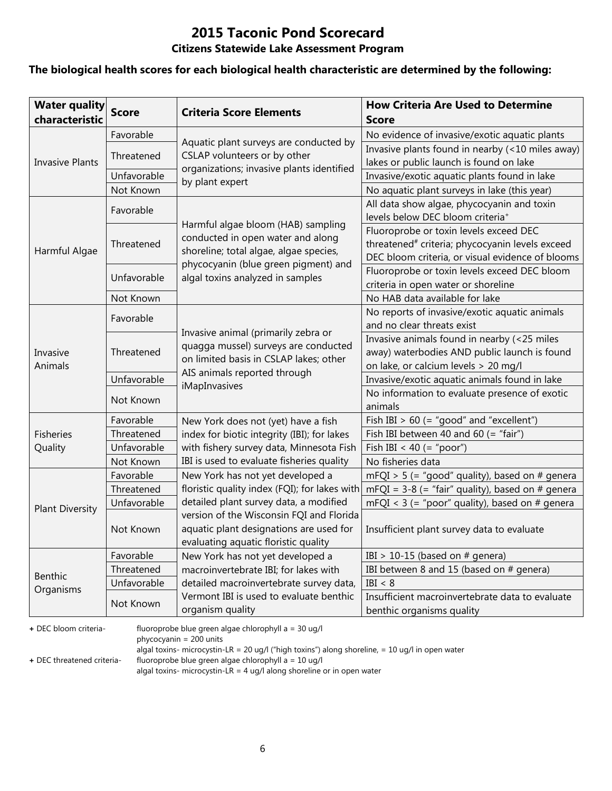# **2015 Taconic Pond Scorecard**

### **Citizens Statewide Lake Assessment Program**

#### **The biological health scores for each biological health characteristic are determined by the following:**

| <b>Water quality</b><br>characteristic | <b>Score</b> | <b>How Criteria Are Used to Determine</b><br><b>Criteria Score Elements</b><br>Score |                                                                                            |
|----------------------------------------|--------------|--------------------------------------------------------------------------------------|--------------------------------------------------------------------------------------------|
|                                        | Favorable    |                                                                                      | No evidence of invasive/exotic aquatic plants                                              |
|                                        | Threatened   | Aquatic plant surveys are conducted by<br>CSLAP volunteers or by other               | Invasive plants found in nearby (<10 miles away)                                           |
| <b>Invasive Plants</b>                 |              | organizations; invasive plants identified                                            | lakes or public launch is found on lake                                                    |
|                                        | Unfavorable  | by plant expert                                                                      | Invasive/exotic aquatic plants found in lake                                               |
|                                        | Not Known    |                                                                                      | No aquatic plant surveys in lake (this year)                                               |
|                                        | Favorable    |                                                                                      | All data show algae, phycocyanin and toxin<br>levels below DEC bloom criteria <sup>+</sup> |
|                                        |              | Harmful algae bloom (HAB) sampling                                                   | Fluoroprobe or toxin levels exceed DEC                                                     |
|                                        | Threatened   | conducted in open water and along                                                    | threatened <sup>#</sup> criteria; phycocyanin levels exceed                                |
| Harmful Algae                          |              | shoreline; total algae, algae species,                                               | DEC bloom criteria, or visual evidence of blooms                                           |
|                                        | Unfavorable  | phycocyanin (blue green pigment) and                                                 | Fluoroprobe or toxin levels exceed DEC bloom                                               |
|                                        |              | algal toxins analyzed in samples                                                     | criteria in open water or shoreline                                                        |
|                                        | Not Known    |                                                                                      | No HAB data available for lake                                                             |
|                                        | Favorable    |                                                                                      | No reports of invasive/exotic aquatic animals                                              |
|                                        |              | Invasive animal (primarily zebra or                                                  | and no clear threats exist                                                                 |
|                                        | Threatened   | quagga mussel) surveys are conducted                                                 | Invasive animals found in nearby (<25 miles                                                |
| Invasive                               |              | on limited basis in CSLAP lakes; other                                               | away) waterbodies AND public launch is found                                               |
| Animals                                |              | AIS animals reported through                                                         | on lake, or calcium levels > 20 mg/l                                                       |
|                                        | Unfavorable  | iMapInvasives                                                                        | Invasive/exotic aquatic animals found in lake                                              |
|                                        | Not Known    |                                                                                      | No information to evaluate presence of exotic<br>animals                                   |
|                                        | Favorable    | New York does not (yet) have a fish                                                  | Fish IBI $> 60$ (= "good" and "excellent")                                                 |
| <b>Fisheries</b>                       | Threatened   | index for biotic integrity (IBI); for lakes                                          | Fish IBI between 40 and 60 (= "fair")                                                      |
| Quality                                | Unfavorable  | with fishery survey data, Minnesota Fish                                             | Fish IBI < 40 (= "poor")                                                                   |
|                                        | Not Known    | IBI is used to evaluate fisheries quality                                            | No fisheries data                                                                          |
|                                        | Favorable    | New York has not yet developed a                                                     | mFQI > 5 (= "good" quality), based on # genera                                             |
|                                        | Threatened   | floristic quality index (FQI); for lakes with                                        | mFQI = $3-8$ (= "fair" quality), based on # genera                                         |
|                                        | Unfavorable  | detailed plant survey data, a modified                                               | mFQI < $3$ (= "poor" quality), based on # genera                                           |
| <b>Plant Diversity</b>                 |              | version of the Wisconsin FQI and Florida                                             |                                                                                            |
|                                        | Not Known    | aquatic plant designations are used for                                              | Insufficient plant survey data to evaluate                                                 |
|                                        |              | evaluating aquatic floristic quality                                                 |                                                                                            |
|                                        | Favorable    | New York has not yet developed a                                                     | IBI > 10-15 (based on $#$ genera)                                                          |
| Benthic                                | Threatened   | macroinvertebrate IBI; for lakes with                                                | IBI between 8 and 15 (based on # genera)                                                   |
| Organisms                              | Unfavorable  | detailed macroinvertebrate survey data,                                              | IBI < 8                                                                                    |
|                                        | Not Known    | Vermont IBI is used to evaluate benthic                                              | Insufficient macroinvertebrate data to evaluate                                            |
|                                        |              | organism quality                                                                     | benthic organisms quality                                                                  |

**+** DEC bloom criteria- fluoroprobe blue green algae chlorophyll a = 30 ug/l

phycocyanin = 200 units

algal toxins- microcystin-LR = 20 ug/l ("high toxins") along shoreline, = 10 ug/l in open water

**+** DEC threatened criteria- fluoroprobe blue green algae chlorophyll a = 10 ug/l

algal toxins- microcystin-LR = 4 ug/l along shoreline or in open water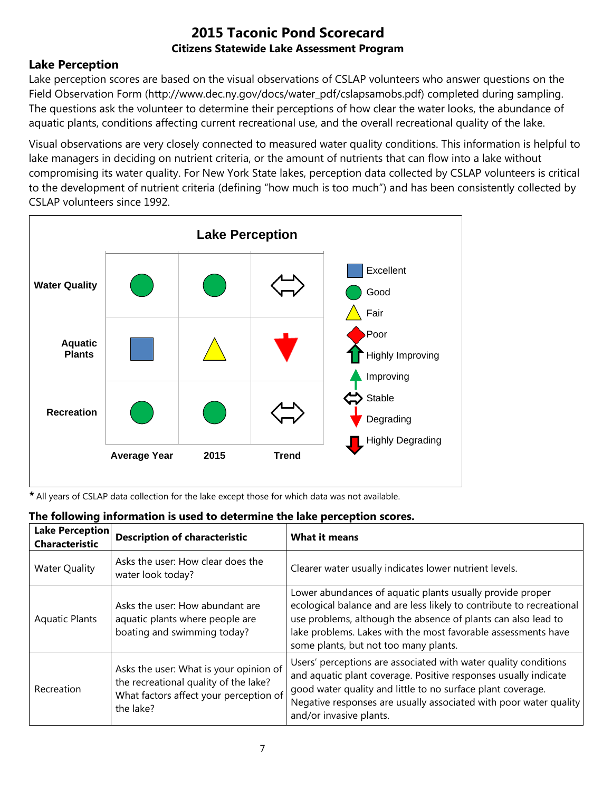## **Lake Perception**

Lake perception scores are based on the visual observations of CSLAP volunteers who answer questions on the Field Observation Form (http://www.dec.ny.gov/docs/water\_pdf/cslapsamobs.pdf) completed during sampling. The questions ask the volunteer to determine their perceptions of how clear the water looks, the abundance of aquatic plants, conditions affecting current recreational use, and the overall recreational quality of the lake.

Visual observations are very closely connected to measured water quality conditions. This information is helpful to lake managers in deciding on nutrient criteria, or the amount of nutrients that can flow into a lake without compromising its water quality. For New York State lakes, perception data collected by CSLAP volunteers is critical to the development of nutrient criteria (defining "how much is too much") and has been consistently collected by CSLAP volunteers since 1992.



*\** All years of CSLAP data collection for the lake except those for which data was not available.

| Lake Perception<br><b>Characteristic</b> | <b>Description of characteristic</b>                                                                                                   | <b>What it means</b>                                                                                                                                                                                                                                                                                         |  |
|------------------------------------------|----------------------------------------------------------------------------------------------------------------------------------------|--------------------------------------------------------------------------------------------------------------------------------------------------------------------------------------------------------------------------------------------------------------------------------------------------------------|--|
| <b>Water Quality</b>                     | Asks the user: How clear does the<br>water look today?                                                                                 | Clearer water usually indicates lower nutrient levels.                                                                                                                                                                                                                                                       |  |
| <b>Aquatic Plants</b>                    | Asks the user: How abundant are<br>aquatic plants where people are<br>boating and swimming today?                                      | Lower abundances of aquatic plants usually provide proper<br>ecological balance and are less likely to contribute to recreational<br>use problems, although the absence of plants can also lead to<br>lake problems. Lakes with the most favorable assessments have<br>some plants, but not too many plants. |  |
| Recreation                               | Asks the user: What is your opinion of<br>the recreational quality of the lake?<br>What factors affect your perception of<br>the lake? | Users' perceptions are associated with water quality conditions<br>and aquatic plant coverage. Positive responses usually indicate<br>good water quality and little to no surface plant coverage.<br>Negative responses are usually associated with poor water quality<br>and/or invasive plants.            |  |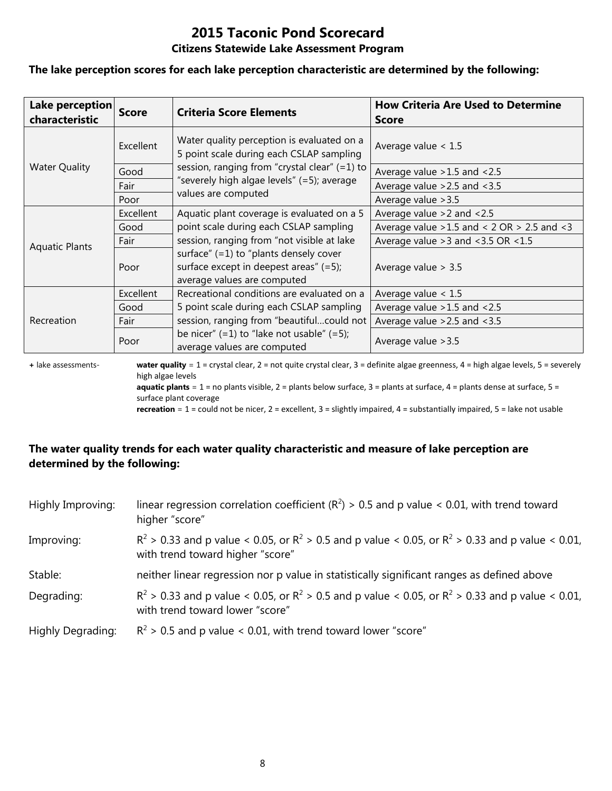# **2015 Taconic Pond Scorecard**

#### **Citizens Statewide Lake Assessment Program**

#### **The lake perception scores for each lake perception characteristic are determined by the following:**

| Lake perception<br>characteristic | <b>Score</b>     | <b>Criteria Score Elements</b>                                                                                       | <b>How Criteria Are Used to Determine</b><br><b>Score</b> |
|-----------------------------------|------------------|----------------------------------------------------------------------------------------------------------------------|-----------------------------------------------------------|
|                                   | <b>Excellent</b> | Water quality perception is evaluated on a<br>5 point scale during each CSLAP sampling                               | Average value $< 1.5$                                     |
| <b>Water Quality</b>              | Good             | session, ranging from "crystal clear" (=1) to                                                                        | Average value > 1.5 and < 2.5                             |
|                                   | Fair             | "severely high algae levels" (=5); average                                                                           | Average value $>2.5$ and $<3.5$                           |
|                                   | Poor             | values are computed                                                                                                  | Average value > 3.5                                       |
|                                   | Excellent        | Aquatic plant coverage is evaluated on a 5                                                                           | Average value $>2$ and $< 2.5$                            |
| <b>Aquatic Plants</b>             | Good             | point scale during each CSLAP sampling                                                                               | Average value $>1.5$ and < 2 OR $> 2.5$ and < 3           |
|                                   | Fair             | session, ranging from "not visible at lake                                                                           | Average value $>3$ and $<3.5$ OR $<1.5$                   |
|                                   | Poor             | surface" $(=1)$ to "plants densely cover<br>surface except in deepest areas" $(=5)$ ;<br>average values are computed | Average value $> 3.5$                                     |
| Recreation                        | Excellent        | Recreational conditions are evaluated on a                                                                           | Average value $< 1.5$                                     |
|                                   | Good             | 5 point scale during each CSLAP sampling                                                                             | Average value $>1.5$ and $<2.5$                           |
|                                   | Fair             | session, ranging from "beautifulcould not                                                                            | Average value $>2.5$ and $<3.5$                           |
|                                   | Poor             | be nicer" $(=1)$ to "lake not usable" $(=5)$ ;<br>average values are computed                                        | Average value > 3.5                                       |

**+** lake assessments- **water quality** = 1 = crystal clear, 2 = not quite crystal clear, 3 = definite algae greenness, 4 = high algae levels, 5 = severely high algae levels **aquatic plants** = 1 = no plants visible, 2 = plants below surface, 3 = plants at surface, 4 = plants dense at surface, 5 =

surface plant coverage

**recreation** = 1 = could not be nicer, 2 = excellent, 3 = slightly impaired, 4 = substantially impaired, 5 = lake not usable

## **The water quality trends for each water quality characteristic and measure of lake perception are determined by the following:**

| Highly Improving: | linear regression correlation coefficient ( $R^2$ ) > 0.5 and p value < 0.01, with trend toward<br>higher "score"                           |
|-------------------|---------------------------------------------------------------------------------------------------------------------------------------------|
| Improving:        | $R^2 > 0.33$ and p value < 0.05, or $R^2 > 0.5$ and p value < 0.05, or $R^2 > 0.33$ and p value < 0.01,<br>with trend toward higher "score" |
| Stable:           | neither linear regression nor p value in statistically significant ranges as defined above                                                  |
| Degrading:        | $R^2 > 0.33$ and p value < 0.05, or $R^2 > 0.5$ and p value < 0.05, or $R^2 > 0.33$ and p value < 0.01,<br>with trend toward lower "score"  |
| Highly Degrading: | $R^2$ > 0.5 and p value < 0.01, with trend toward lower "score"                                                                             |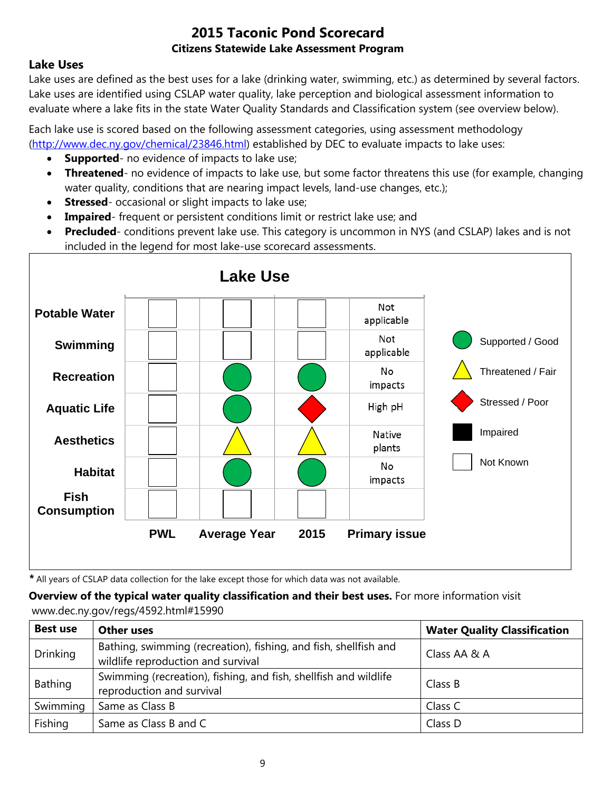## **Lake Uses**

Lake uses are defined as the best uses for a lake (drinking water, swimming, etc.) as determined by several factors. Lake uses are identified using CSLAP water quality, lake perception and biological assessment information to evaluate where a lake fits in the state Water Quality Standards and Classification system (see overview below).

Each lake use is scored based on the following assessment categories, using assessment methodology [\(http://www.dec.ny.gov/chemical/23846.html\)](http://www.dec.ny.gov/chemical/23846.html) established by DEC to evaluate impacts to lake uses:

- **Supported** no evidence of impacts to lake use;
- **Threatened** no evidence of impacts to lake use, but some factor threatens this use (for example, changing water quality, conditions that are nearing impact levels, land-use changes, etc.);
- **Stressed** occasional or slight impacts to lake use;
- **Impaired** frequent or persistent conditions limit or restrict lake use; and
- **Precluded** conditions prevent lake use. This category is uncommon in NYS (and CSLAP) lakes and is not included in the legend for most lake-use scorecard assessments.



*\** All years of CSLAP data collection for the lake except those for which data was not available.

**Overview of the typical water quality classification and their best uses.** For more information visit www.dec.ny.gov/regs/4592.html#15990

| <b>Best use</b> | <b>Other uses</b>                                                                                      | <b>Water Quality Classification</b> |
|-----------------|--------------------------------------------------------------------------------------------------------|-------------------------------------|
| <b>Drinking</b> | Bathing, swimming (recreation), fishing, and fish, shellfish and<br>wildlife reproduction and survival | Class AA & A                        |
| Bathing         | Swimming (recreation), fishing, and fish, shellfish and wildlife<br>reproduction and survival          | Class B                             |
| Swimming        | Same as Class B                                                                                        | Class C                             |
| Fishing         | Same as Class B and C                                                                                  | Class D                             |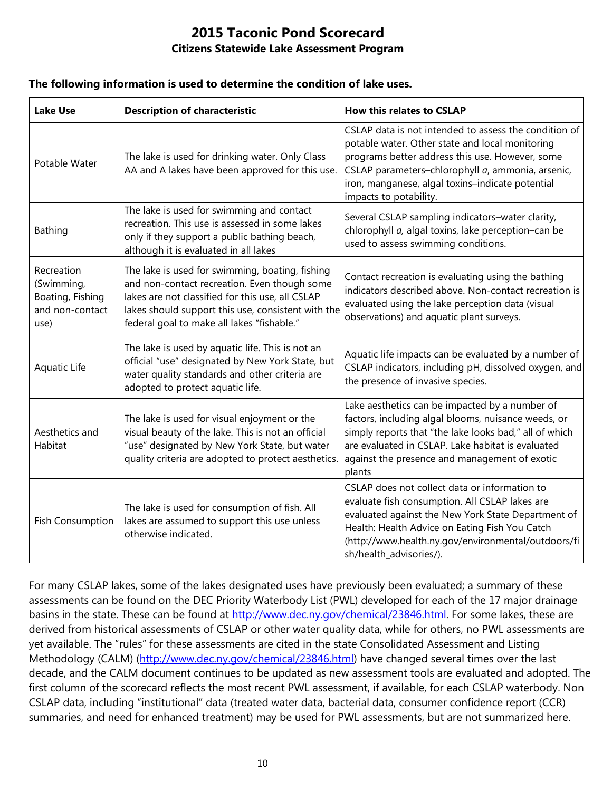#### **The following information is used to determine the condition of lake uses.**

| <b>Lake Use</b>                                                         | <b>Description of characteristic</b>                                                                                                                                                                                                                    | <b>How this relates to CSLAP</b>                                                                                                                                                                                                                                                               |
|-------------------------------------------------------------------------|---------------------------------------------------------------------------------------------------------------------------------------------------------------------------------------------------------------------------------------------------------|------------------------------------------------------------------------------------------------------------------------------------------------------------------------------------------------------------------------------------------------------------------------------------------------|
| Potable Water                                                           | The lake is used for drinking water. Only Class<br>AA and A lakes have been approved for this use.                                                                                                                                                      | CSLAP data is not intended to assess the condition of<br>potable water. Other state and local monitoring<br>programs better address this use. However, some<br>CSLAP parameters-chlorophyll a, ammonia, arsenic,<br>iron, manganese, algal toxins-indicate potential<br>impacts to potability. |
| Bathing                                                                 | The lake is used for swimming and contact<br>recreation. This use is assessed in some lakes<br>only if they support a public bathing beach,<br>although it is evaluated in all lakes                                                                    | Several CSLAP sampling indicators-water clarity,<br>chlorophyll a, algal toxins, lake perception-can be<br>used to assess swimming conditions.                                                                                                                                                 |
| Recreation<br>(Swimming,<br>Boating, Fishing<br>and non-contact<br>use) | The lake is used for swimming, boating, fishing<br>and non-contact recreation. Even though some<br>lakes are not classified for this use, all CSLAP<br>lakes should support this use, consistent with the<br>federal goal to make all lakes "fishable." | Contact recreation is evaluating using the bathing<br>indicators described above. Non-contact recreation is<br>evaluated using the lake perception data (visual<br>observations) and aquatic plant surveys.                                                                                    |
| Aquatic Life                                                            | The lake is used by aquatic life. This is not an<br>official "use" designated by New York State, but<br>water quality standards and other criteria are<br>adopted to protect aquatic life.                                                              | Aquatic life impacts can be evaluated by a number of<br>CSLAP indicators, including pH, dissolved oxygen, and<br>the presence of invasive species.                                                                                                                                             |
| Aesthetics and<br>Habitat                                               | The lake is used for visual enjoyment or the<br>visual beauty of the lake. This is not an official<br>"use" designated by New York State, but water<br>quality criteria are adopted to protect aesthetics.                                              | Lake aesthetics can be impacted by a number of<br>factors, including algal blooms, nuisance weeds, or<br>simply reports that "the lake looks bad," all of which<br>are evaluated in CSLAP. Lake habitat is evaluated<br>against the presence and management of exotic<br>plants                |
| <b>Fish Consumption</b>                                                 | The lake is used for consumption of fish. All<br>lakes are assumed to support this use unless<br>otherwise indicated.                                                                                                                                   | CSLAP does not collect data or information to<br>evaluate fish consumption. All CSLAP lakes are<br>evaluated against the New York State Department of<br>Health: Health Advice on Eating Fish You Catch<br>(http://www.health.ny.gov/environmental/outdoors/fi<br>sh/health_advisories/).      |

For many CSLAP lakes, some of the lakes designated uses have previously been evaluated; a summary of these assessments can be found on the DEC Priority Waterbody List (PWL) developed for each of the 17 major drainage basins in the state. These can be found at [http://www.dec.ny.gov/chemical/23846.html.](http://www.dec.ny.gov/chemical/23846.html) For some lakes, these are derived from historical assessments of CSLAP or other water quality data, while for others, no PWL assessments are yet available. The "rules" for these assessments are cited in the state Consolidated Assessment and Listing Methodology (CALM) [\(http://www.dec.ny.gov/chemical/23846.html\)](http://www.dec.ny.gov/chemical/23846.html) have changed several times over the last decade, and the CALM document continues to be updated as new assessment tools are evaluated and adopted. The first column of the scorecard reflects the most recent PWL assessment, if available, for each CSLAP waterbody. Non CSLAP data, including "institutional" data (treated water data, bacterial data, consumer confidence report (CCR) summaries, and need for enhanced treatment) may be used for PWL assessments, but are not summarized here.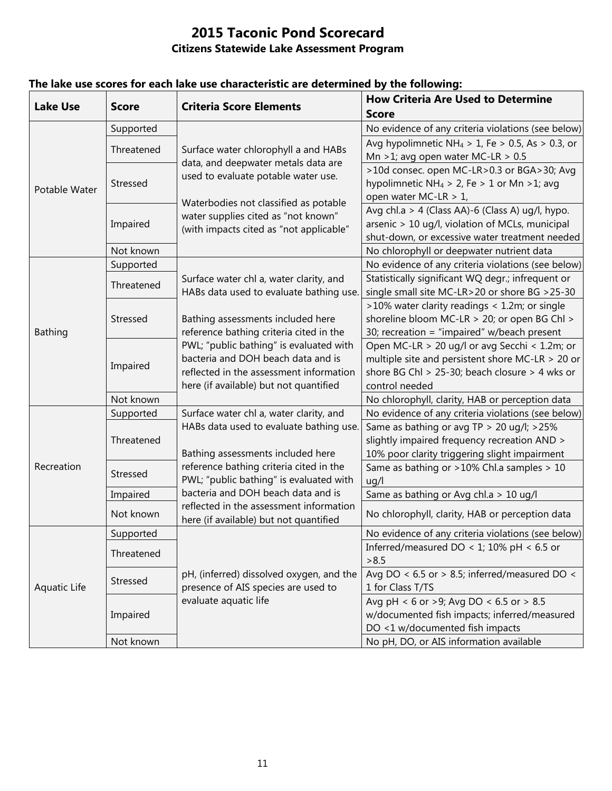| <b>Lake Use</b> | <b>Score</b> | <b>Criteria Score Elements</b>                                                                                     | <b>How Criteria Are Used to Determine</b>                    |
|-----------------|--------------|--------------------------------------------------------------------------------------------------------------------|--------------------------------------------------------------|
|                 |              |                                                                                                                    | <b>Score</b>                                                 |
| Potable Water   | Supported    | Surface water chlorophyll a and HABs<br>data, and deepwater metals data are<br>used to evaluate potable water use. | No evidence of any criteria violations (see below)           |
|                 | Threatened   |                                                                                                                    | Avg hypolimnetic NH <sub>4</sub> > 1, Fe > 0.5, As > 0.3, or |
|                 |              |                                                                                                                    | Mn >1; avg open water MC-LR > $0.5$                          |
|                 | Stressed     |                                                                                                                    | >10d consec. open MC-LR>0.3 or BGA>30; Avg                   |
|                 |              |                                                                                                                    | hypolimnetic NH <sub>4</sub> > 2, Fe > 1 or Mn > 1; avg      |
|                 |              | Waterbodies not classified as potable                                                                              | open water MC-LR > 1,                                        |
|                 | Impaired     | water supplies cited as "not known"                                                                                | Avg chl.a > 4 (Class AA)-6 (Class A) ug/l, hypo.             |
|                 |              | (with impacts cited as "not applicable"                                                                            | arsenic > 10 ug/l, violation of MCLs, municipal              |
|                 |              |                                                                                                                    | shut-down, or excessive water treatment needed               |
|                 | Not known    |                                                                                                                    | No chlorophyll or deepwater nutrient data                    |
|                 | Supported    |                                                                                                                    | No evidence of any criteria violations (see below)           |
|                 | Threatened   | Surface water chl a, water clarity, and                                                                            | Statistically significant WQ degr.; infrequent or            |
|                 |              | HABs data used to evaluate bathing use.                                                                            | single small site MC-LR>20 or shore BG >25-30                |
|                 | Stressed     |                                                                                                                    | >10% water clarity readings < 1.2m; or single                |
|                 |              | Bathing assessments included here                                                                                  | shoreline bloom MC-LR > 20; or open BG Chl >                 |
| Bathing         |              | reference bathing criteria cited in the                                                                            | 30; recreation = "impaired" w/beach present                  |
|                 |              | PWL; "public bathing" is evaluated with                                                                            | Open MC-LR > 20 ug/l or avg Secchi < 1.2m; or                |
|                 | Impaired     | bacteria and DOH beach data and is                                                                                 | multiple site and persistent shore MC-LR > 20 or             |
|                 |              | reflected in the assessment information                                                                            | shore BG Chl > 25-30; beach closure > 4 wks or               |
|                 |              | here (if available) but not quantified                                                                             | control needed                                               |
|                 | Not known    |                                                                                                                    | No chlorophyll, clarity, HAB or perception data              |
|                 | Supported    | Surface water chl a, water clarity, and                                                                            | No evidence of any criteria violations (see below)           |
|                 |              | HABs data used to evaluate bathing use.                                                                            | Same as bathing or avg TP > 20 ug/l; >25%                    |
|                 | Threatened   |                                                                                                                    | slightly impaired frequency recreation AND >                 |
|                 |              | Bathing assessments included here                                                                                  | 10% poor clarity triggering slight impairment                |
| Recreation      | Stressed     | reference bathing criteria cited in the                                                                            | Same as bathing or >10% Chl.a samples > 10                   |
|                 |              | PWL; "public bathing" is evaluated with                                                                            | uq/l                                                         |
|                 | Impaired     | bacteria and DOH beach data and is                                                                                 | Same as bathing or Avg chl.a > 10 ug/l                       |
|                 | Not known    | reflected in the assessment information<br>here (if available) but not quantified                                  | No chlorophyll, clarity, HAB or perception data              |
| Aquatic Life    | Supported    |                                                                                                                    | No evidence of any criteria violations (see below)           |
|                 |              |                                                                                                                    | Inferred/measured DO < 1; 10% pH < 6.5 or                    |
|                 | Threatened   |                                                                                                                    | >8.5                                                         |
|                 | Stressed     | pH, (inferred) dissolved oxygen, and the                                                                           | Avg DO < $6.5$ or > 8.5; inferred/measured DO <              |
|                 |              | presence of AIS species are used to                                                                                | 1 for Class T/TS                                             |
|                 | Impaired     | evaluate aquatic life                                                                                              | Avg pH < 6 or >9; Avg DO < 6.5 or > 8.5                      |
|                 |              |                                                                                                                    | w/documented fish impacts; inferred/measured                 |
|                 |              |                                                                                                                    | DO <1 w/documented fish impacts                              |
|                 | Not known    |                                                                                                                    | No pH, DO, or AIS information available                      |

## **The lake use scores for each lake use characteristic are determined by the following:**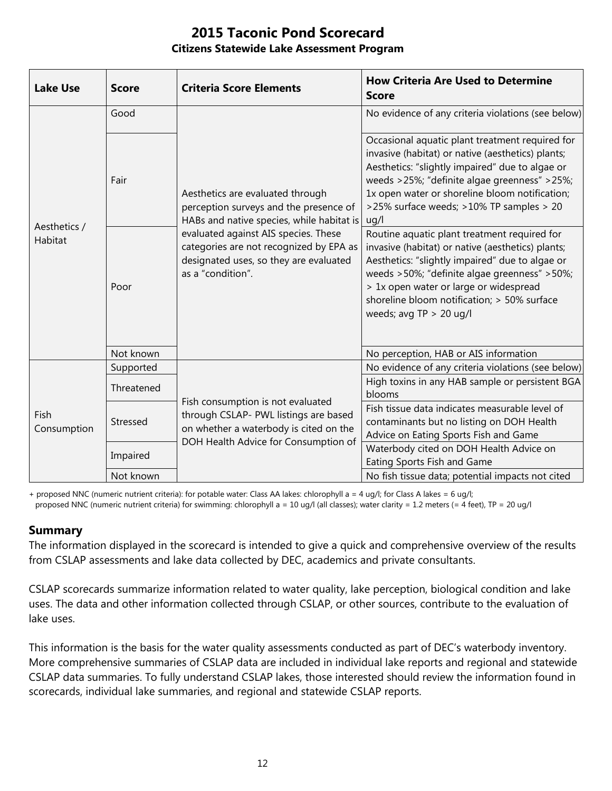| <b>Lake Use</b>         | <b>Score</b> | <b>Criteria Score Elements</b>                                                                                                                                                                                                                                            | <b>How Criteria Are Used to Determine</b><br><b>Score</b>                                                                                                                                                                                                                                                                  |
|-------------------------|--------------|---------------------------------------------------------------------------------------------------------------------------------------------------------------------------------------------------------------------------------------------------------------------------|----------------------------------------------------------------------------------------------------------------------------------------------------------------------------------------------------------------------------------------------------------------------------------------------------------------------------|
| Aesthetics /<br>Habitat | Good         | Aesthetics are evaluated through<br>perception surveys and the presence of<br>HABs and native species, while habitat is<br>evaluated against AIS species. These<br>categories are not recognized by EPA as<br>designated uses, so they are evaluated<br>as a "condition". | No evidence of any criteria violations (see below)                                                                                                                                                                                                                                                                         |
|                         | Fair         |                                                                                                                                                                                                                                                                           | Occasional aquatic plant treatment required for<br>invasive (habitat) or native (aesthetics) plants;<br>Aesthetics: "slightly impaired" due to algae or<br>weeds >25%; "definite algae greenness" >25%;<br>1x open water or shoreline bloom notification;<br>>25% surface weeds; >10% TP samples > 20<br>uq/l              |
|                         | Poor         |                                                                                                                                                                                                                                                                           | Routine aquatic plant treatment required for<br>invasive (habitat) or native (aesthetics) plants;<br>Aesthetics: "slightly impaired" due to algae or<br>weeds >50%; "definite algae greenness" >50%;<br>> 1x open water or large or widespread<br>shoreline bloom notification; > 50% surface<br>weeds; avg $TP > 20$ ug/l |
|                         | Not known    |                                                                                                                                                                                                                                                                           | No perception, HAB or AIS information                                                                                                                                                                                                                                                                                      |
| Fish<br>Consumption     | Supported    | Fish consumption is not evaluated<br>through CSLAP- PWL listings are based<br>on whether a waterbody is cited on the<br>DOH Health Advice for Consumption of                                                                                                              | No evidence of any criteria violations (see below)                                                                                                                                                                                                                                                                         |
|                         | Threatened   |                                                                                                                                                                                                                                                                           | High toxins in any HAB sample or persistent BGA<br>blooms                                                                                                                                                                                                                                                                  |
|                         | Stressed     |                                                                                                                                                                                                                                                                           | Fish tissue data indicates measurable level of<br>contaminants but no listing on DOH Health<br>Advice on Eating Sports Fish and Game                                                                                                                                                                                       |
|                         | Impaired     |                                                                                                                                                                                                                                                                           | Waterbody cited on DOH Health Advice on<br>Eating Sports Fish and Game                                                                                                                                                                                                                                                     |
|                         | Not known    |                                                                                                                                                                                                                                                                           | No fish tissue data; potential impacts not cited                                                                                                                                                                                                                                                                           |

+ proposed NNC (numeric nutrient criteria): for potable water: Class AA lakes: chlorophyll a = 4 ug/l; for Class A lakes = 6 ug/l; proposed NNC (numeric nutrient criteria) for swimming: chlorophyll a = 10 ug/l (all classes); water clarity = 1.2 meters (= 4 feet), TP = 20 ug/l

#### **Summary**

The information displayed in the scorecard is intended to give a quick and comprehensive overview of the results from CSLAP assessments and lake data collected by DEC, academics and private consultants.

CSLAP scorecards summarize information related to water quality, lake perception, biological condition and lake uses. The data and other information collected through CSLAP, or other sources, contribute to the evaluation of lake uses.

This information is the basis for the water quality assessments conducted as part of DEC's waterbody inventory. More comprehensive summaries of CSLAP data are included in individual lake reports and regional and statewide CSLAP data summaries. To fully understand CSLAP lakes, those interested should review the information found in scorecards, individual lake summaries, and regional and statewide CSLAP reports.